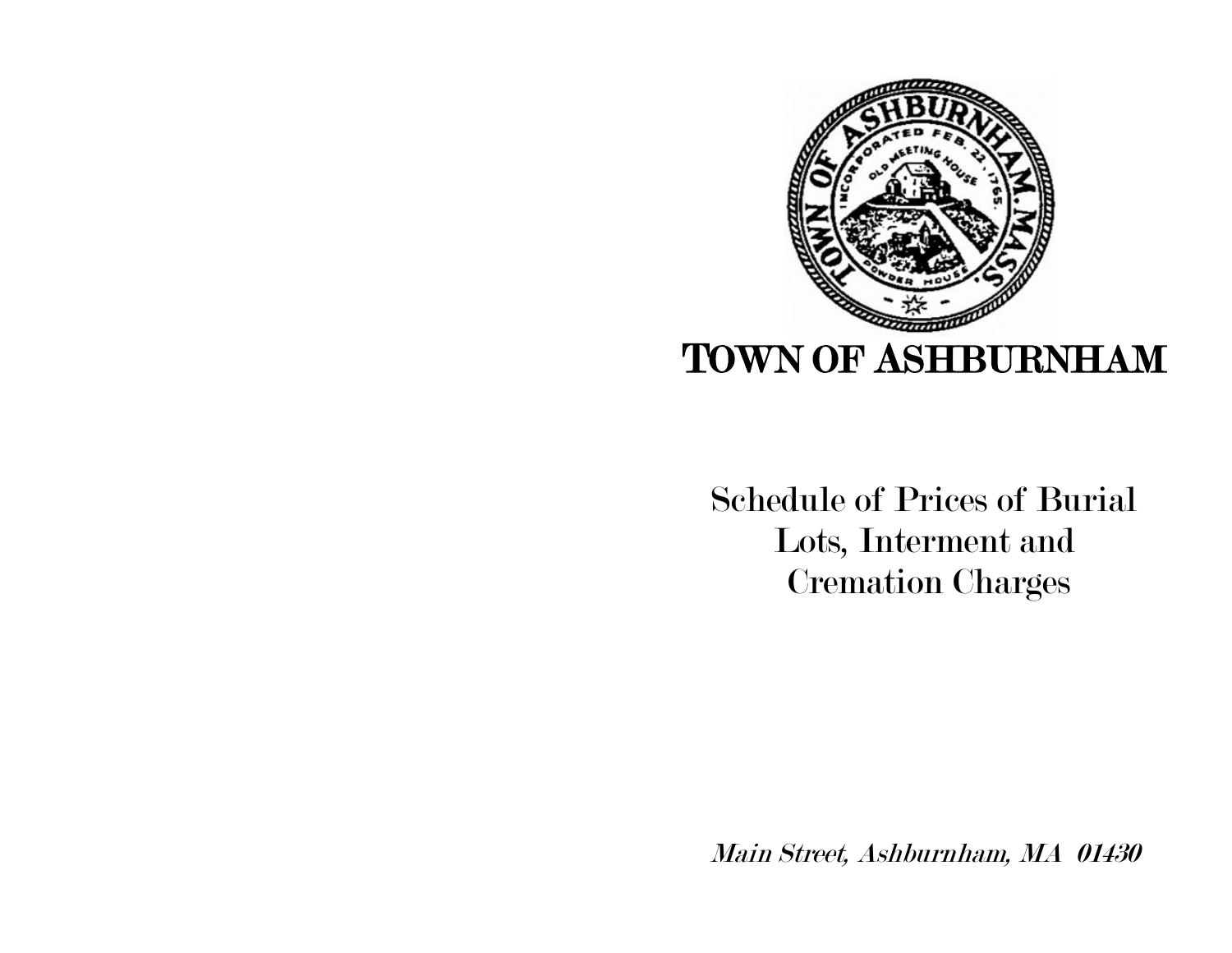

 Schedule of Prices of Burial Lots, Interment and Cremation Charges

Main Street, Ashburnham, MA 01430